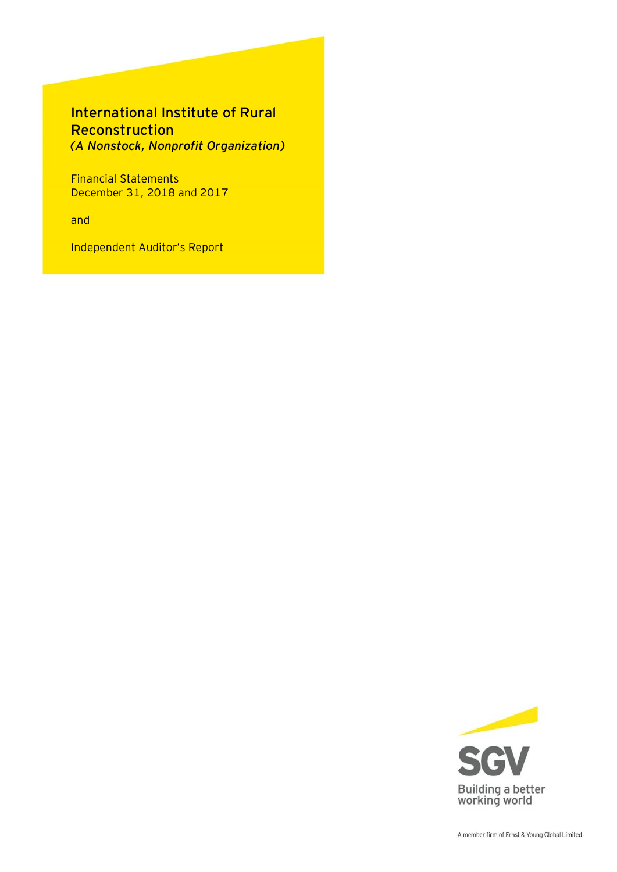## International Institute of Rural Reconstruction *(A Nonstock, Nonprofit Organization)*

Financial Statements December 31, 2018 and 2017

and

Independent Auditor's Report

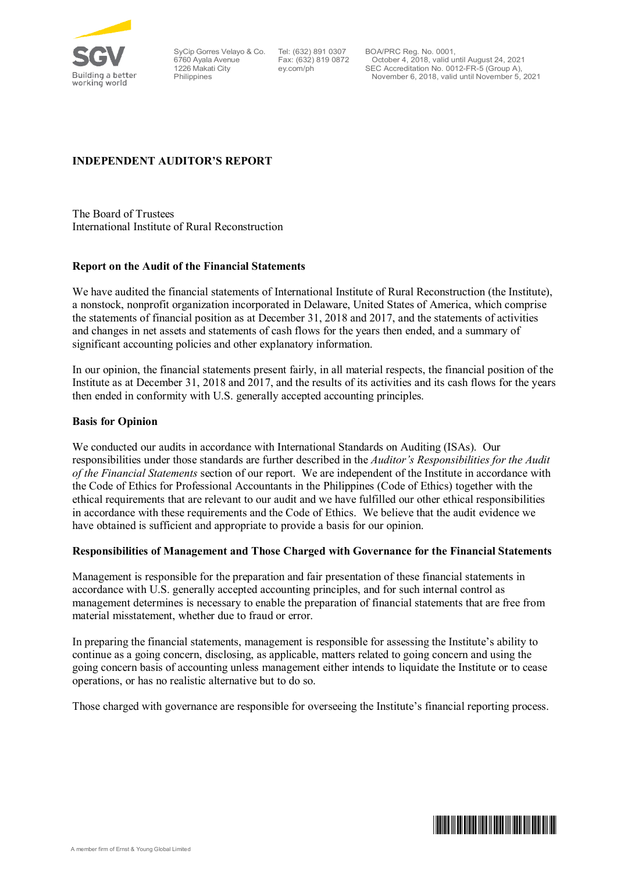

6760 Ayala Avenue 1226 Makati City Philippines

SyCip Gorres Velayo & Co. Tel: (632) 891 0307 Fax: (632) 819 0872 ey.com/ph

BOA/PRC Reg. No. 0001, October 4, 2018, valid until August 24, 2021 SEC Accreditation No. 0012-FR-5 (Group A), November 6, 2018, valid until November 5, 2021

## **INDEPENDENT AUDITOR'S REPORT**

The Board of Trustees International Institute of Rural Reconstruction

## **Report on the Audit of the Financial Statements**

We have audited the financial statements of International Institute of Rural Reconstruction (the Institute), a nonstock, nonprofit organization incorporated in Delaware, United States of America, which comprise the statements of financial position as at December 31, 2018 and 2017, and the statements of activities and changes in net assets and statements of cash flows for the years then ended, and a summary of significant accounting policies and other explanatory information.

In our opinion, the financial statements present fairly, in all material respects, the financial position of the Institute as at December 31, 2018 and 2017, and the results of its activities and its cash flows for the years then ended in conformity with U.S. generally accepted accounting principles.

## **Basis for Opinion**

We conducted our audits in accordance with International Standards on Auditing (ISAs). Our responsibilities under those standards are further described in the *Auditor's Responsibilities for the Audit of the Financial Statements* section of our report. We are independent of the Institute in accordance with the Code of Ethics for Professional Accountants in the Philippines (Code of Ethics) together with the ethical requirements that are relevant to our audit and we have fulfilled our other ethical responsibilities in accordance with these requirements and the Code of Ethics. We believe that the audit evidence we have obtained is sufficient and appropriate to provide a basis for our opinion.

## **Responsibilities of Management and Those Charged with Governance for the Financial Statements**

Management is responsible for the preparation and fair presentation of these financial statements in accordance with U.S. generally accepted accounting principles, and for such internal control as management determines is necessary to enable the preparation of financial statements that are free from material misstatement, whether due to fraud or error.

In preparing the financial statements, management is responsible for assessing the Institute's ability to continue as a going concern, disclosing, as applicable, matters related to going concern and using the going concern basis of accounting unless management either intends to liquidate the Institute or to cease operations, or has no realistic alternative but to do so.

Those charged with governance are responsible for overseeing the Institute's financial reporting process.

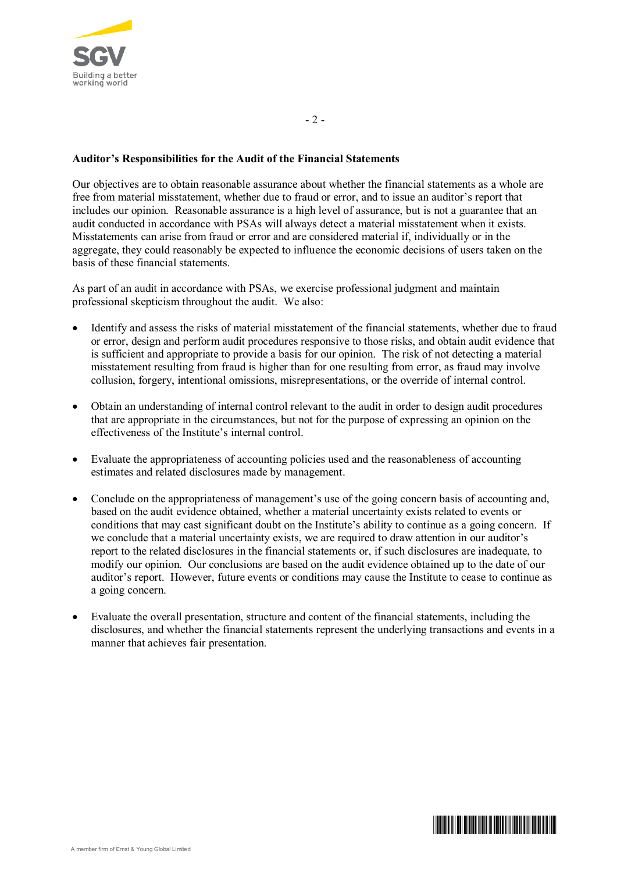

## **Auditor's Responsibilities for the Audit of the Financial Statements**

Our objectives are to obtain reasonable assurance about whether the financial statements as a whole are free from material misstatement, whether due to fraud or error, and to issue an auditor's report that includes our opinion. Reasonable assurance is a high level of assurance, but is not a guarantee that an audit conducted in accordance with PSAs will always detect a material misstatement when it exists. Misstatements can arise from fraud or error and are considered material if, individually or in the aggregate, they could reasonably be expected to influence the economic decisions of users taken on the basis of these financial statements.

As part of an audit in accordance with PSAs, we exercise professional judgment and maintain professional skepticism throughout the audit. We also:

- ∂ Identify and assess the risks of material misstatement of the financial statements, whether due to fraud or error, design and perform audit procedures responsive to those risks, and obtain audit evidence that is sufficient and appropriate to provide a basis for our opinion. The risk of not detecting a material misstatement resulting from fraud is higher than for one resulting from error, as fraud may involve collusion, forgery, intentional omissions, misrepresentations, or the override of internal control.
- ∂ Obtain an understanding of internal control relevant to the audit in order to design audit procedures that are appropriate in the circumstances, but not for the purpose of expressing an opinion on the effectiveness of the Institute's internal control.
- ∂ Evaluate the appropriateness of accounting policies used and the reasonableness of accounting estimates and related disclosures made by management.
- ∂ Conclude on the appropriateness of management's use of the going concern basis of accounting and, based on the audit evidence obtained, whether a material uncertainty exists related to events or conditions that may cast significant doubt on the Institute's ability to continue as a going concern. If we conclude that a material uncertainty exists, we are required to draw attention in our auditor's report to the related disclosures in the financial statements or, if such disclosures are inadequate, to modify our opinion. Our conclusions are based on the audit evidence obtained up to the date of our auditor's report. However, future events or conditions may cause the Institute to cease to continue as a going concern.
- ∂ Evaluate the overall presentation, structure and content of the financial statements, including the disclosures, and whether the financial statements represent the underlying transactions and events in a manner that achieves fair presentation.

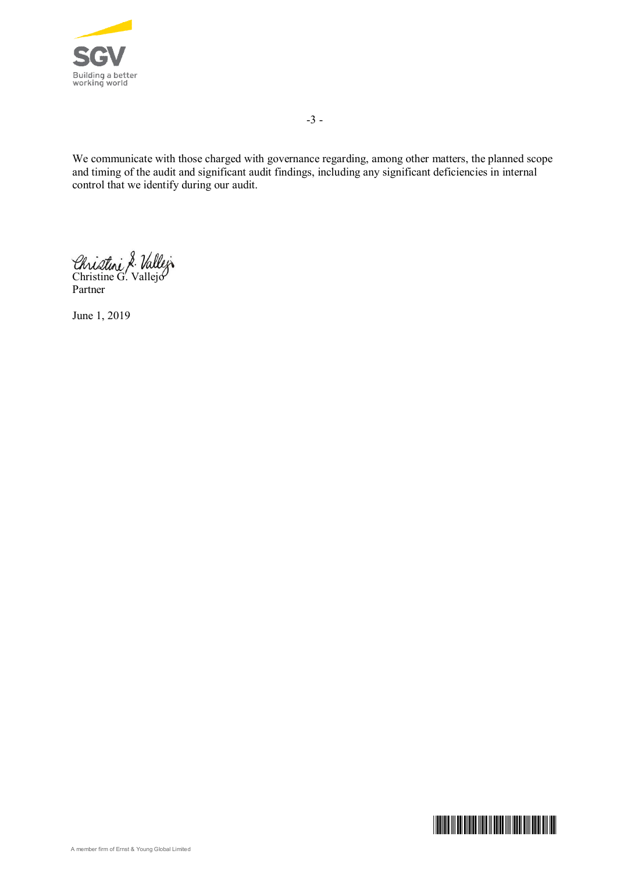

-3 -

We communicate with those charged with governance regarding, among other matters, the planned scope and timing of the audit and significant audit findings, including any significant deficiencies in internal control that we identify during our audit.

Christine G. Vallejo Partner

June 1, 2019

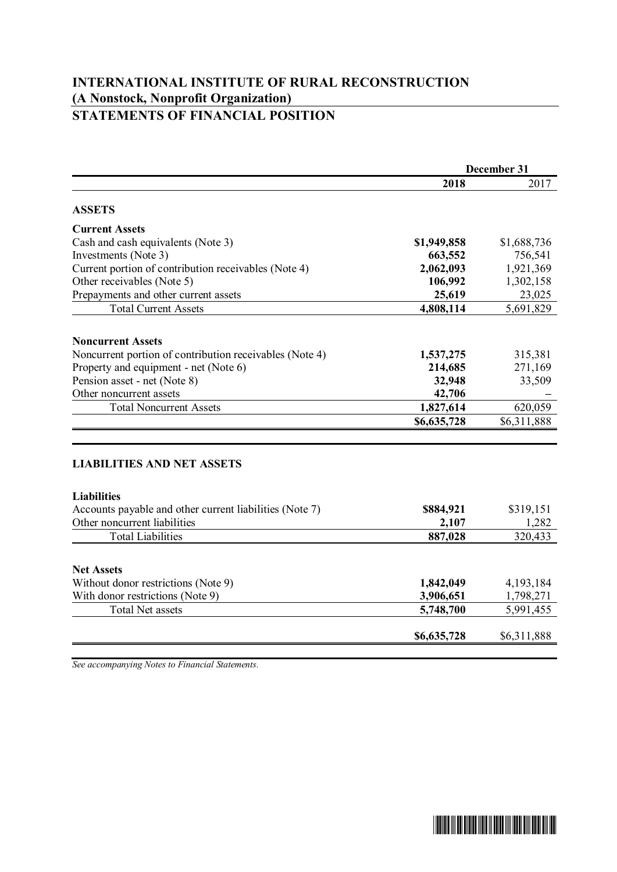## **INTERNATIONAL INSTITUTE OF RURAL RECONSTRUCTION (A Nonstock, Nonprofit Organization) STATEMENTS OF FINANCIAL POSITION**

|                                                         | December 31 |             |  |
|---------------------------------------------------------|-------------|-------------|--|
|                                                         | 2018        | 2017        |  |
| <b>ASSETS</b>                                           |             |             |  |
| <b>Current Assets</b>                                   |             |             |  |
| Cash and cash equivalents (Note 3)                      | \$1,949,858 | \$1,688,736 |  |
| Investments (Note 3)                                    | 663,552     | 756,541     |  |
| Current portion of contribution receivables (Note 4)    | 2,062,093   | 1,921,369   |  |
| Other receivables (Note 5)                              | 106,992     | 1,302,158   |  |
| Prepayments and other current assets                    | 25,619      | 23,025      |  |
| <b>Total Current Assets</b>                             | 4,808,114   | 5,691,829   |  |
| <b>Noncurrent Assets</b>                                |             |             |  |
| Noncurrent portion of contribution receivables (Note 4) | 1,537,275   | 315,381     |  |
| Property and equipment - net (Note 6)                   | 214,685     | 271,169     |  |
| Pension asset - net (Note 8)                            | 32,948      | 33,509      |  |
| Other noncurrent assets                                 | 42,706      |             |  |
| <b>Total Noncurrent Assets</b>                          | 1,827,614   | 620,059     |  |
|                                                         | \$6,635,728 | \$6,311,888 |  |
|                                                         |             |             |  |
| <b>LIABILITIES AND NET ASSETS</b>                       |             |             |  |
| <b>Liabilities</b>                                      |             |             |  |
| Accounts payable and other current liabilities (Note 7) | \$884,921   | \$319,151   |  |
| Other noncurrent liabilities                            | 2,107       | 1,282       |  |
| <b>Total Liabilities</b>                                | 887,028     | 320,433     |  |
| <b>Net Assets</b>                                       |             |             |  |
| Without donor restrictions (Note 9)                     | 1,842,049   | 4,193,184   |  |
| With donor restrictions (Note 9)                        | 3,906,651   | 1,798,271   |  |
| <b>Total Net assets</b>                                 | 5,748,700   | 5,991,455   |  |
|                                                         |             |             |  |
|                                                         | \$6,635,728 | \$6,311,888 |  |

*See accompanying Notes to Financial Statements.*

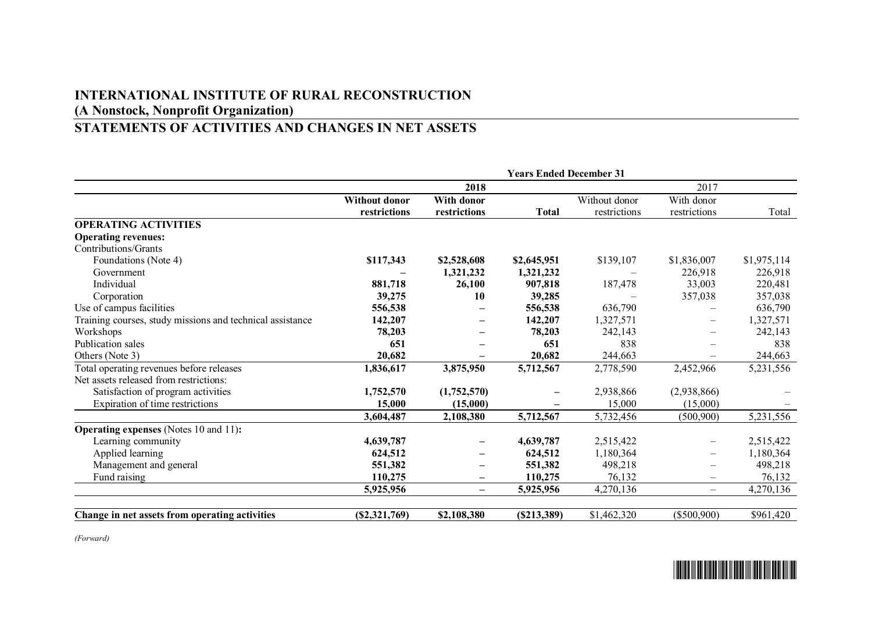## **INTERNATIONAL INSTITUTE OF RURAL RECONSTRUCTION (A Nonstock, Nonprofit Organization)**

# **STATEMENTS OF ACTIVITIES AND CHANGES IN NET ASSETS**

|                                                           | <b>Years Ended December 31</b> |                   |              |               |                          |             |
|-----------------------------------------------------------|--------------------------------|-------------------|--------------|---------------|--------------------------|-------------|
|                                                           |                                | 2018              |              |               | 2017                     |             |
|                                                           | <b>Without donor</b>           | With donor        |              | Without donor | With donor               |             |
|                                                           | restrictions                   | restrictions      | <b>Total</b> | restrictions  | restrictions             | Total       |
| <b>OPERATING ACTIVITIES</b>                               |                                |                   |              |               |                          |             |
| <b>Operating revenues:</b>                                |                                |                   |              |               |                          |             |
| Contributions/Grants                                      |                                |                   |              |               |                          |             |
| Foundations (Note 4)                                      | \$117,343                      | \$2,528,608       | \$2,645,951  | \$139,107     | \$1,836,007              | \$1,975,114 |
| Government                                                |                                | 1,321,232         | 1,321,232    |               | 226,918                  | 226,918     |
| Individual                                                | 881,718                        | 26,100            | 907,818      | 187,478       | 33,003                   | 220,481     |
| Corporation                                               | 39,275                         | 10                | 39,285       |               | 357,038                  | 357,038     |
| Use of campus facilities                                  | 556,538                        |                   | 556,538      | 636,790       |                          | 636,790     |
| Training courses, study missions and technical assistance | 142,207                        | -                 | 142,207      | 1,327,571     | $\qquad \qquad -$        | 1,327,571   |
| Workshops                                                 | 78,203                         |                   | 78,203       | 242,143       |                          | 242,143     |
| Publication sales                                         | 651                            |                   | 651          | 838           |                          | 838         |
| Others (Note 3)                                           | 20,682                         |                   | 20,682       | 244,663       |                          | 244,663     |
| Total operating revenues before releases                  | 1,836,617                      | 3,875,950         | 5,712,567    | 2,778,590     | 2,452,966                | 5,231,556   |
| Net assets released from restrictions:                    |                                |                   |              |               |                          |             |
| Satisfaction of program activities                        | 1,752,570                      | (1,752,570)       |              | 2,938,866     | (2,938,866)              |             |
| Expiration of time restrictions                           | 15,000                         | (15,000)          |              | 15,000        | (15,000)                 |             |
|                                                           | 3,604,487                      | 2,108,380         | 5,712,567    | 5,732,456     | (500, 900)               | 5,231,556   |
| <b>Operating expenses</b> (Notes 10 and 11):              |                                |                   |              |               |                          |             |
| Learning community                                        | 4,639,787                      |                   | 4,639,787    | 2,515,422     |                          | 2,515,422   |
| Applied learning                                          | 624,512                        | -                 | 624,512      | 1,180,364     | $\qquad \qquad -$        | 1,180,364   |
| Management and general                                    | 551,382                        |                   | 551,382      | 498,218       |                          | 498,218     |
| Fund raising                                              | 110,275                        | -                 | 110,275      | 76,132        | $\overline{\phantom{m}}$ | 76,132      |
|                                                           | 5,925,956                      | $\qquad \qquad -$ | 5,925,956    | 4,270,136     |                          | 4,270,136   |
|                                                           |                                |                   |              |               |                          |             |
| Change in net assets from operating activities            | (S2, 321, 769)                 | \$2,108,380       | (S213,389)   | \$1,462,320   | $(\$500,900)$            | \$961,420   |

 $\overline{\phantom{a}}$  for all that we have the first of  $\overline{\phantom{a}}$ 

*(Forward)*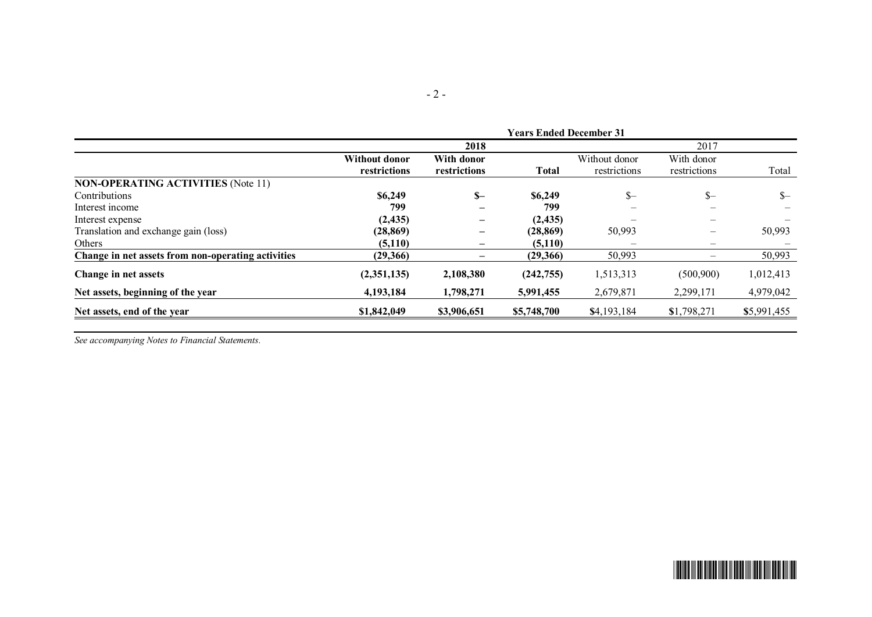|                                                    |                               |                            | <b>Years Ended December 31</b> |                               |                                           |             |
|----------------------------------------------------|-------------------------------|----------------------------|--------------------------------|-------------------------------|-------------------------------------------|-------------|
|                                                    |                               | 2018                       |                                |                               | 2017                                      |             |
|                                                    | Without donor<br>restrictions | With donor<br>restrictions | <b>Total</b>                   | Without donor<br>restrictions | With donor<br>restrictions                | Total       |
| <b>NON-OPERATING ACTIVITIES (Note 11)</b>          |                               |                            |                                |                               |                                           |             |
| <b>Contributions</b>                               | \$6,249                       | $S-$                       | \$6,249                        | $S-$                          | $S-$                                      | $S-$        |
| Interest income                                    | 799                           |                            | 799                            |                               |                                           |             |
| Interest expense                                   | (2, 435)                      | —                          | (2, 435)                       |                               | $\overline{\phantom{m}}$                  |             |
| Translation and exchange gain (loss)               | (28, 869)                     | —                          | (28, 869)                      | 50,993                        | $\qquad \qquad \overline{\qquad \qquad }$ | 50,993      |
| Others                                             | (5,110)                       | —                          | (5,110)                        |                               | $\overline{\phantom{0}}$                  |             |
| Change in net assets from non-operating activities | (29,366)                      |                            | (29,366)                       | 50,993                        |                                           | 50,993      |
| Change in net assets                               | (2,351,135)                   | 2,108,380                  | (242,755)                      | 1,513,313                     | (500,900)                                 | 1,012,413   |
| Net assets, beginning of the year                  | 4,193,184                     | 1,798,271                  | 5,991,455                      | 2,679,871                     | 2,299,171                                 | 4,979,042   |
| Net assets, end of the year                        | \$1,842,049                   | \$3,906,651                | \$5,748,700                    | \$4,193,184                   | \$1,798,271                               | \$5,991,455 |
|                                                    |                               |                            |                                |                               |                                           |             |

*See accompanying Notes to Financial Statements.*

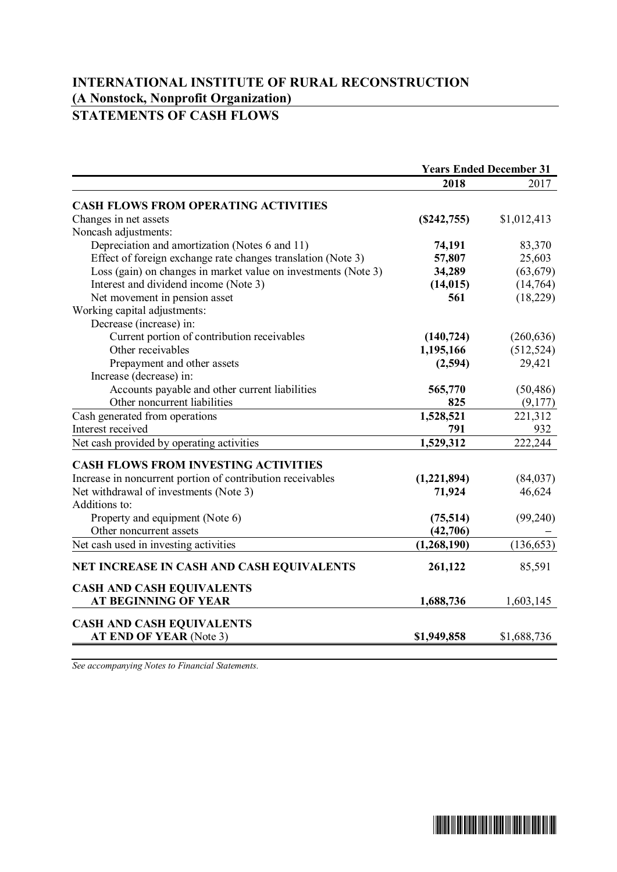## **INTERNATIONAL INSTITUTE OF RURAL RECONSTRUCTION (A Nonstock, Nonprofit Organization) STATEMENTS OF CASH FLOWS**

| <b>Years Ended December 31</b> |
|--------------------------------|
| 2017                           |
|                                |
| \$1,012,413                    |
|                                |
| 83,370                         |
| 25,603                         |
| (63, 679)                      |
| (14,764)                       |
| (18, 229)                      |
|                                |
|                                |
| (260, 636)                     |
| (512, 524)                     |
| 29,421                         |
|                                |
| (50, 486)                      |
| (9,177)                        |
| 221,312                        |
| 932                            |
| 222,244                        |
|                                |
| (84,037)                       |
| 46,624                         |
|                                |
| (99,240)                       |
|                                |
| (136, 653)                     |
| 85,591                         |
|                                |
| 1,603,145                      |
|                                |
| \$1,688,736                    |
|                                |

*See accompanying Notes to Financial Statements.*

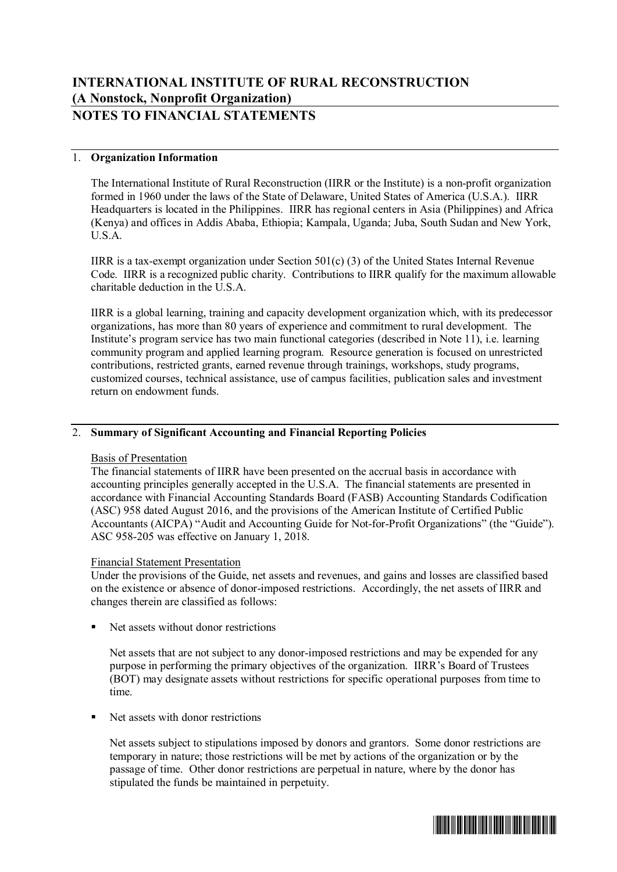## 1. **Organization Information**

The International Institute of Rural Reconstruction (IIRR or the Institute) is a non-profit organization formed in 1960 under the laws of the State of Delaware, United States of America (U.S.A.). IIRR Headquarters is located in the Philippines. IIRR has regional centers in Asia (Philippines) and Africa (Kenya) and offices in Addis Ababa, Ethiopia; Kampala, Uganda; Juba, South Sudan and New York, U.S.A.

IIRR is a tax-exempt organization under Section 501(c) (3) of the United States Internal Revenue Code. IIRR is a recognized public charity. Contributions to IIRR qualify for the maximum allowable charitable deduction in the U.S.A.

IIRR is a global learning, training and capacity development organization which, with its predecessor organizations, has more than 80 years of experience and commitment to rural development. The Institute's program service has two main functional categories (described in Note 11), i.e. learning community program and applied learning program. Resource generation is focused on unrestricted contributions, restricted grants, earned revenue through trainings, workshops, study programs, customized courses, technical assistance, use of campus facilities, publication sales and investment return on endowment funds.

## 2. **Summary of Significant Accounting and Financial Reporting Policies**

## Basis of Presentation

The financial statements of IIRR have been presented on the accrual basis in accordance with accounting principles generally accepted in the U.S.A. The financial statements are presented in accordance with Financial Accounting Standards Board (FASB) Accounting Standards Codification (ASC) 958 dated August 2016, and the provisions of the American Institute of Certified Public Accountants (AICPA) "Audit and Accounting Guide for Not-for-Profit Organizations" (the "Guide"). ASC 958-205 was effective on January 1, 2018.

## Financial Statement Presentation

Under the provisions of the Guide, net assets and revenues, and gains and losses are classified based on the existence or absence of donor-imposed restrictions. Accordingly, the net assets of IIRR and changes therein are classified as follows:

Net assets without donor restrictions

Net assets that are not subject to any donor-imposed restrictions and may be expended for any purpose in performing the primary objectives of the organization. IIRR's Board of Trustees (BOT) may designate assets without restrictions for specific operational purposes from time to time.

■ Net assets with donor restrictions

Net assets subject to stipulations imposed by donors and grantors. Some donor restrictions are temporary in nature; those restrictions will be met by actions of the organization or by the passage of time. Other donor restrictions are perpetual in nature, where by the donor has stipulated the funds be maintained in perpetuity.

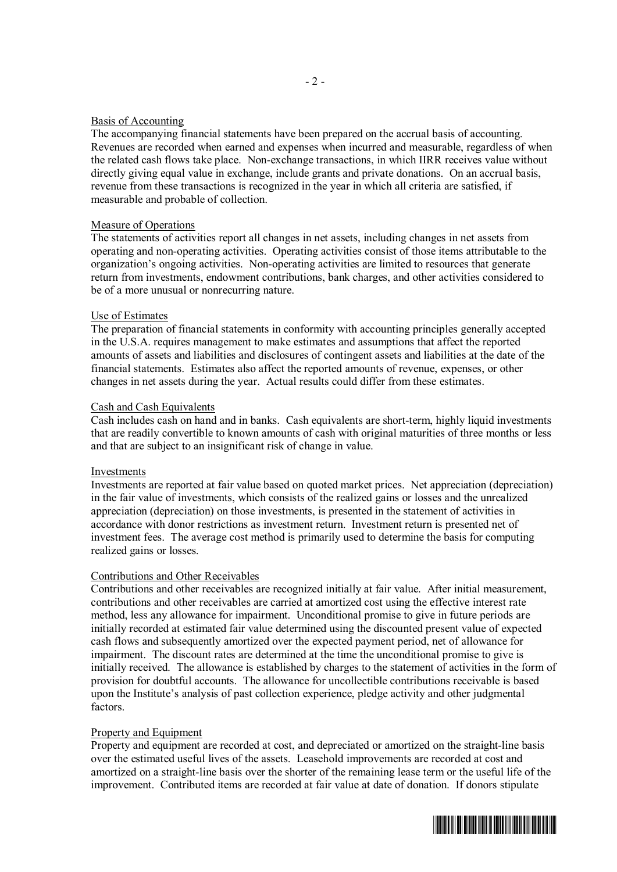#### Basis of Accounting

The accompanying financial statements have been prepared on the accrual basis of accounting. Revenues are recorded when earned and expenses when incurred and measurable, regardless of when the related cash flows take place. Non-exchange transactions, in which IIRR receives value without directly giving equal value in exchange, include grants and private donations. On an accrual basis, revenue from these transactions is recognized in the year in which all criteria are satisfied, if measurable and probable of collection.

## Measure of Operations

The statements of activities report all changes in net assets, including changes in net assets from operating and non-operating activities. Operating activities consist of those items attributable to the organization's ongoing activities. Non-operating activities are limited to resources that generate return from investments, endowment contributions, bank charges, and other activities considered to be of a more unusual or nonrecurring nature.

#### Use of Estimates

The preparation of financial statements in conformity with accounting principles generally accepted in the U.S.A. requires management to make estimates and assumptions that affect the reported amounts of assets and liabilities and disclosures of contingent assets and liabilities at the date of the financial statements. Estimates also affect the reported amounts of revenue, expenses, or other changes in net assets during the year. Actual results could differ from these estimates.

#### Cash and Cash Equivalents

Cash includes cash on hand and in banks. Cash equivalents are short-term, highly liquid investments that are readily convertible to known amounts of cash with original maturities of three months or less and that are subject to an insignificant risk of change in value.

#### Investments

Investments are reported at fair value based on quoted market prices. Net appreciation (depreciation) in the fair value of investments, which consists of the realized gains or losses and the unrealized appreciation (depreciation) on those investments, is presented in the statement of activities in accordance with donor restrictions as investment return. Investment return is presented net of investment fees. The average cost method is primarily used to determine the basis for computing realized gains or losses.

#### Contributions and Other Receivables

Contributions and other receivables are recognized initially at fair value. After initial measurement, contributions and other receivables are carried at amortized cost using the effective interest rate method, less any allowance for impairment. Unconditional promise to give in future periods are initially recorded at estimated fair value determined using the discounted present value of expected cash flows and subsequently amortized over the expected payment period, net of allowance for impairment. The discount rates are determined at the time the unconditional promise to give is initially received. The allowance is established by charges to the statement of activities in the form of provision for doubtful accounts. The allowance for uncollectible contributions receivable is based upon the Institute's analysis of past collection experience, pledge activity and other judgmental factors.

## Property and Equipment

Property and equipment are recorded at cost, and depreciated or amortized on the straight-line basis over the estimated useful lives of the assets. Leasehold improvements are recorded at cost and amortized on a straight-line basis over the shorter of the remaining lease term or the useful life of the improvement. Contributed items are recorded at fair value at date of donation. If donors stipulate

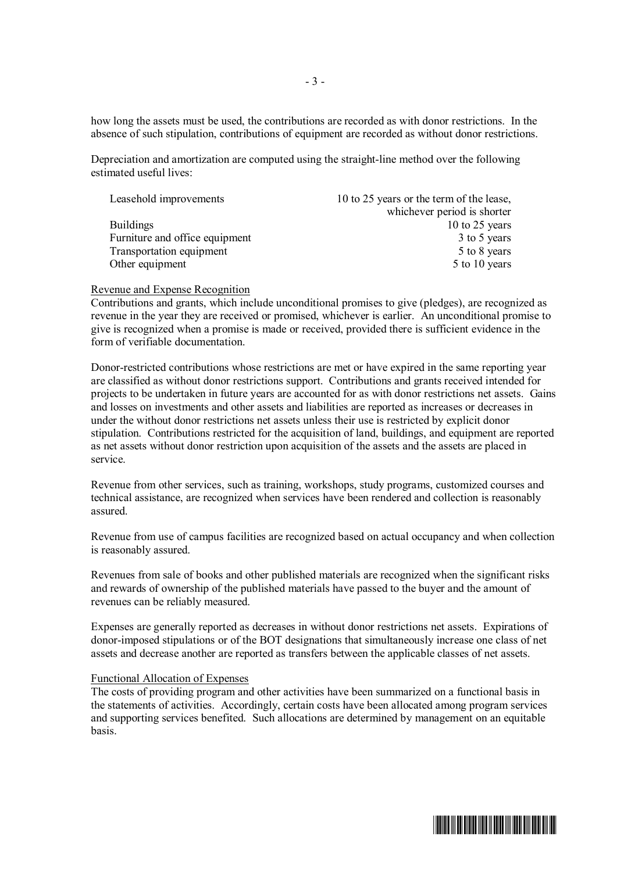how long the assets must be used, the contributions are recorded as with donor restrictions. In the absence of such stipulation, contributions of equipment are recorded as without donor restrictions.

Depreciation and amortization are computed using the straight-line method over the following estimated useful lives:

| Leasehold improvements         | 10 to 25 years or the term of the lease, |
|--------------------------------|------------------------------------------|
|                                | whichever period is shorter              |
| <b>Buildings</b>               | 10 to 25 years                           |
| Furniture and office equipment | 3 to 5 years                             |
| Transportation equipment       | 5 to 8 years                             |
| Other equipment                | 5 to 10 years                            |

#### Revenue and Expense Recognition

Contributions and grants, which include unconditional promises to give (pledges), are recognized as revenue in the year they are received or promised, whichever is earlier. An unconditional promise to give is recognized when a promise is made or received, provided there is sufficient evidence in the form of verifiable documentation.

Donor-restricted contributions whose restrictions are met or have expired in the same reporting year are classified as without donor restrictions support. Contributions and grants received intended for projects to be undertaken in future years are accounted for as with donor restrictions net assets. Gains and losses on investments and other assets and liabilities are reported as increases or decreases in under the without donor restrictions net assets unless their use is restricted by explicit donor stipulation. Contributions restricted for the acquisition of land, buildings, and equipment are reported as net assets without donor restriction upon acquisition of the assets and the assets are placed in service.

Revenue from other services, such as training, workshops, study programs, customized courses and technical assistance, are recognized when services have been rendered and collection is reasonably assured.

Revenue from use of campus facilities are recognized based on actual occupancy and when collection is reasonably assured.

Revenues from sale of books and other published materials are recognized when the significant risks and rewards of ownership of the published materials have passed to the buyer and the amount of revenues can be reliably measured.

Expenses are generally reported as decreases in without donor restrictions net assets. Expirations of donor-imposed stipulations or of the BOT designations that simultaneously increase one class of net assets and decrease another are reported as transfers between the applicable classes of net assets.

#### Functional Allocation of Expenses

The costs of providing program and other activities have been summarized on a functional basis in the statements of activities. Accordingly, certain costs have been allocated among program services and supporting services benefited. Such allocations are determined by management on an equitable basis.

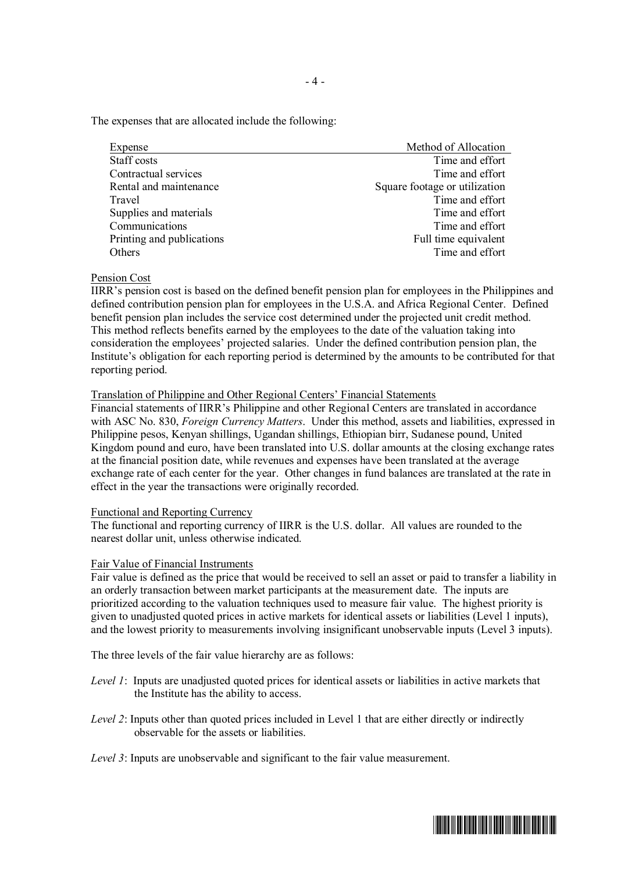The expenses that are allocated include the following:

| Expense                   | Method of Allocation          |  |  |
|---------------------------|-------------------------------|--|--|
| Staff costs               | Time and effort               |  |  |
| Contractual services      | Time and effort               |  |  |
| Rental and maintenance    | Square footage or utilization |  |  |
| Travel                    | Time and effort               |  |  |
| Supplies and materials    | Time and effort               |  |  |
| Communications            | Time and effort               |  |  |
| Printing and publications | Full time equivalent          |  |  |
| Others                    | Time and effort               |  |  |

#### Pension Cost

IIRR's pension cost is based on the defined benefit pension plan for employees in the Philippines and defined contribution pension plan for employees in the U.S.A. and Africa Regional Center. Defined benefit pension plan includes the service cost determined under the projected unit credit method. This method reflects benefits earned by the employees to the date of the valuation taking into consideration the employees' projected salaries. Under the defined contribution pension plan, the Institute's obligation for each reporting period is determined by the amounts to be contributed for that reporting period.

## Translation of Philippine and Other Regional Centers' Financial Statements

Financial statements of IIRR's Philippine and other Regional Centers are translated in accordance with ASC No. 830, *Foreign Currency Matters*. Under this method, assets and liabilities, expressed in Philippine pesos, Kenyan shillings, Ugandan shillings, Ethiopian birr, Sudanese pound, United Kingdom pound and euro, have been translated into U.S. dollar amounts at the closing exchange rates at the financial position date, while revenues and expenses have been translated at the average exchange rate of each center for the year. Other changes in fund balances are translated at the rate in effect in the year the transactions were originally recorded.

#### Functional and Reporting Currency

The functional and reporting currency of IIRR is the U.S. dollar. All values are rounded to the nearest dollar unit, unless otherwise indicated.

## Fair Value of Financial Instruments

Fair value is defined as the price that would be received to sell an asset or paid to transfer a liability in an orderly transaction between market participants at the measurement date. The inputs are prioritized according to the valuation techniques used to measure fair value. The highest priority is given to unadjusted quoted prices in active markets for identical assets or liabilities (Level 1 inputs), and the lowest priority to measurements involving insignificant unobservable inputs (Level 3 inputs).

The three levels of the fair value hierarchy are as follows:

- *Level 1*: Inputs are unadjusted quoted prices for identical assets or liabilities in active markets that the Institute has the ability to access.
- *Level 2*: Inputs other than quoted prices included in Level 1 that are either directly or indirectly observable for the assets or liabilities.

*Level 3*: Inputs are unobservable and significant to the fair value measurement.

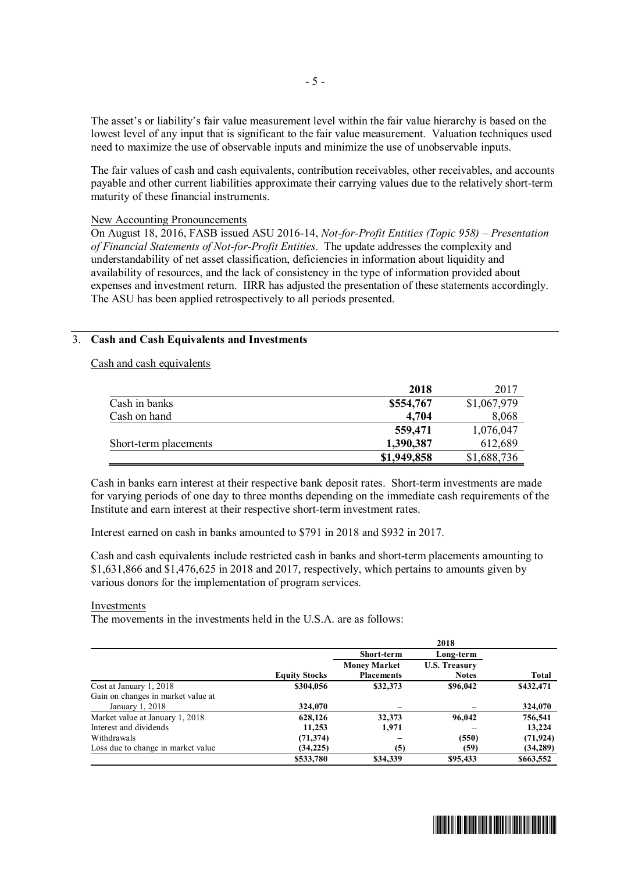The asset's or liability's fair value measurement level within the fair value hierarchy is based on the lowest level of any input that is significant to the fair value measurement. Valuation techniques used need to maximize the use of observable inputs and minimize the use of unobservable inputs.

The fair values of cash and cash equivalents, contribution receivables, other receivables, and accounts payable and other current liabilities approximate their carrying values due to the relatively short-term maturity of these financial instruments.

#### New Accounting Pronouncements

On August 18, 2016, FASB issued ASU 2016-14, *Not-for-Profit Entities (Topic 958) – Presentation of Financial Statements of Not-for-Profit Entities*. The update addresses the complexity and understandability of net asset classification, deficiencies in information about liquidity and availability of resources, and the lack of consistency in the type of information provided about expenses and investment return. IIRR has adjusted the presentation of these statements accordingly. The ASU has been applied retrospectively to all periods presented.

## 3. **Cash and Cash Equivalents and Investments**

Cash and cash equivalents

|                       | 2018        | 2017        |
|-----------------------|-------------|-------------|
| Cash in banks         | \$554,767   | \$1,067,979 |
| Cash on hand          | 4,704       | 8,068       |
|                       | 559,471     | 1,076,047   |
| Short-term placements | 1,390,387   | 612,689     |
|                       | \$1,949,858 | \$1,688,736 |

Cash in banks earn interest at their respective bank deposit rates. Short-term investments are made for varying periods of one day to three months depending on the immediate cash requirements of the Institute and earn interest at their respective short-term investment rates.

Interest earned on cash in banks amounted to \$791 in 2018 and \$932 in 2017.

Cash and cash equivalents include restricted cash in banks and short-term placements amounting to \$1,631,866 and \$1,476,625 in 2018 and 2017, respectively, which pertains to amounts given by various donors for the implementation of program services.

#### Investments

The movements in the investments held in the U.S.A. are as follows:

|                                    |                      |                     | 2018                 |              |
|------------------------------------|----------------------|---------------------|----------------------|--------------|
|                                    |                      | <b>Short-term</b>   | Long-term            |              |
|                                    |                      | <b>Money Market</b> | <b>U.S. Treasury</b> |              |
|                                    | <b>Equity Stocks</b> | <b>Placements</b>   | <b>Notes</b>         | <b>Total</b> |
| Cost at January 1, 2018            | \$304,056            | \$32,373            | \$96,042             | \$432,471    |
| Gain on changes in market value at |                      |                     |                      |              |
| January 1, 2018                    | 324,070              |                     |                      | 324,070      |
| Market value at January 1, 2018    | 628,126              | 32,373              | 96,042               | 756,541      |
| Interest and dividends             | 11,253               | 1,971               |                      | 13,224       |
| Withdrawals                        | (71, 374)            |                     | (550)                | (71, 924)    |
| Loss due to change in market value | (34, 225)            | (5)                 | (59)                 | (34, 289)    |
|                                    | \$533,780            | \$34,339            | \$95,433             | \$663,552    |

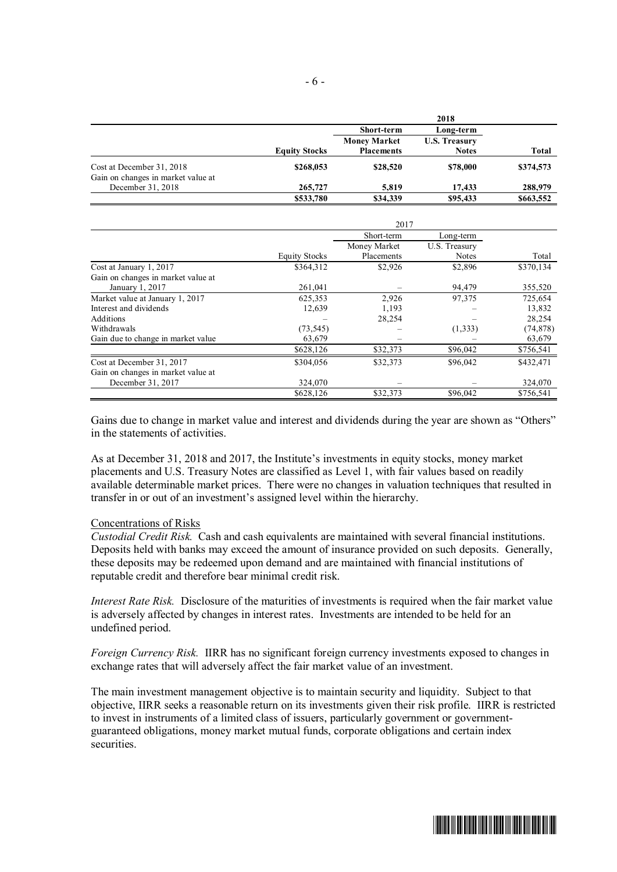|                                    |                      | 2018                |                      |           |
|------------------------------------|----------------------|---------------------|----------------------|-----------|
|                                    |                      | <b>Short-term</b>   | Long-term            |           |
|                                    |                      | <b>Money Market</b> | <b>U.S. Treasury</b> |           |
|                                    | <b>Equity Stocks</b> | <b>Placements</b>   | <b>Notes</b>         | Total     |
| Cost at December 31, 2018          | \$268,053            | \$28,520            | \$78,000             | \$374,573 |
| Gain on changes in market value at |                      |                     |                      |           |
| December 31, 2018                  | 265,727              | 5,819               | 17.433               | 288,979   |
|                                    | \$533,780            | \$34,339            | \$95,433             | \$663,552 |

|                                    | 2017                 |              |               |           |
|------------------------------------|----------------------|--------------|---------------|-----------|
|                                    |                      | Short-term   | Long-term     |           |
|                                    |                      | Money Market | U.S. Treasury |           |
|                                    | <b>Equity Stocks</b> | Placements   | Notes         | Total     |
| Cost at January 1, 2017            | \$364,312            | \$2,926      | \$2,896       | \$370,134 |
| Gain on changes in market value at |                      |              |               |           |
| January 1, 2017                    | 261,041              |              | 94,479        | 355,520   |
| Market value at January 1, 2017    | 625,353              | 2,926        | 97,375        | 725,654   |
| Interest and dividends             | 12,639               | 1,193        |               | 13,832    |
| Additions                          |                      | 28,254       |               | 28,254    |
| Withdrawals                        | (73, 545)            |              | (1,333)       | (74, 878) |
| Gain due to change in market value | 63,679               |              |               | 63,679    |
|                                    | \$628,126            | \$32,373     | \$96,042      | \$756,541 |
| Cost at December 31, 2017          | \$304,056            | \$32,373     | \$96,042      | \$432,471 |
| Gain on changes in market value at |                      |              |               |           |
| December 31, 2017                  | 324,070              |              |               | 324,070   |
|                                    | \$628,126            | \$32,373     | \$96,042      | \$756,541 |

Gains due to change in market value and interest and dividends during the year are shown as "Others" in the statements of activities.

As at December 31, 2018 and 2017, the Institute's investments in equity stocks, money market placements and U.S. Treasury Notes are classified as Level 1, with fair values based on readily available determinable market prices. There were no changes in valuation techniques that resulted in transfer in or out of an investment's assigned level within the hierarchy.

#### Concentrations of Risks

*Custodial Credit Risk.* Cash and cash equivalents are maintained with several financial institutions. Deposits held with banks may exceed the amount of insurance provided on such deposits. Generally, these deposits may be redeemed upon demand and are maintained with financial institutions of reputable credit and therefore bear minimal credit risk.

*Interest Rate Risk.* Disclosure of the maturities of investments is required when the fair market value is adversely affected by changes in interest rates. Investments are intended to be held for an undefined period.

*Foreign Currency Risk.* IIRR has no significant foreign currency investments exposed to changes in exchange rates that will adversely affect the fair market value of an investment.

The main investment management objective is to maintain security and liquidity. Subject to that objective, IIRR seeks a reasonable return on its investments given their risk profile. IIRR is restricted to invest in instruments of a limited class of issuers, particularly government or governmentguaranteed obligations, money market mutual funds, corporate obligations and certain index securities.

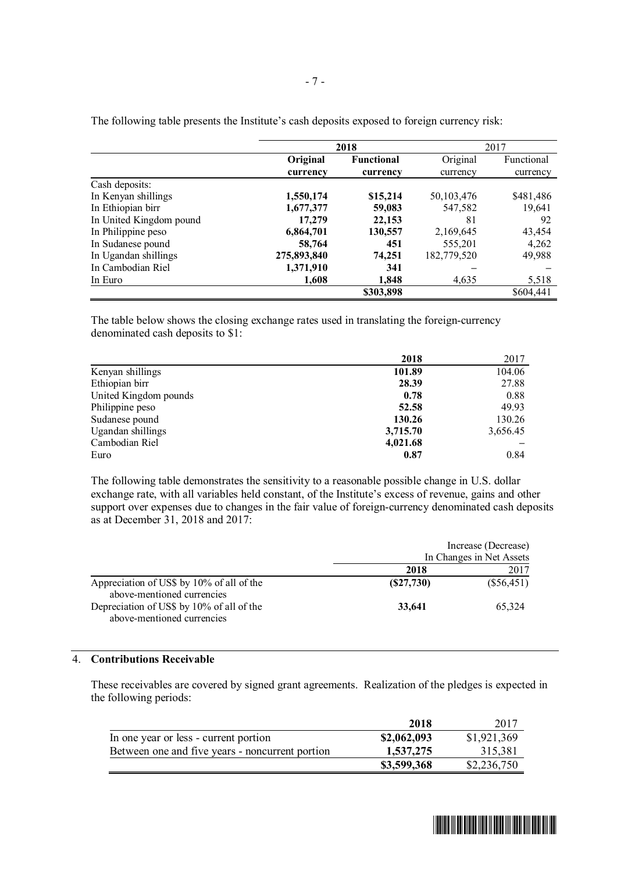|                         | 2018        |                   | 2017        |            |
|-------------------------|-------------|-------------------|-------------|------------|
|                         | Original    | <b>Functional</b> | Original    | Functional |
|                         | currency    | currency          | currency    | currency   |
| Cash deposits:          |             |                   |             |            |
| In Kenyan shillings     | 1,550,174   | \$15,214          | 50,103,476  | \$481,486  |
| In Ethiopian birr       | 1,677,377   | 59,083            | 547,582     | 19,641     |
| In United Kingdom pound | 17,279      | 22,153            | 81          | 92         |
| In Philippine peso      | 6,864,701   | 130,557           | 2,169,645   | 43,454     |
| In Sudanese pound       | 58,764      | 451               | 555,201     | 4,262      |
| In Ugandan shillings    | 275,893,840 | 74,251            | 182,779,520 | 49,988     |
| In Cambodian Riel       | 1,371,910   | 341               |             |            |
| In Euro                 | 1,608       | 1,848             | 4,635       | 5,518      |
|                         |             | \$303,898         |             | \$604,441  |

The following table presents the Institute's cash deposits exposed to foreign currency risk:

The table below shows the closing exchange rates used in translating the foreign-currency denominated cash deposits to \$1:

|                       | 2018     | 2017     |
|-----------------------|----------|----------|
| Kenyan shillings      | 101.89   | 104.06   |
| Ethiopian birr        | 28.39    | 27.88    |
| United Kingdom pounds | 0.78     | 0.88     |
| Philippine peso       | 52.58    | 49.93    |
| Sudanese pound        | 130.26   | 130.26   |
| Ugandan shillings     | 3,715.70 | 3,656.45 |
| Cambodian Riel        | 4,021.68 |          |
| Euro                  | 0.87     | 0.84     |

The following table demonstrates the sensitivity to a reasonable possible change in U.S. dollar exchange rate, with all variables held constant, of the Institute's excess of revenue, gains and other support over expenses due to changes in the fair value of foreign-currency denominated cash deposits as at December 31, 2018 and 2017:

|                                                                         |           | Increase (Decrease)      |
|-------------------------------------------------------------------------|-----------|--------------------------|
|                                                                         |           | In Changes in Net Assets |
|                                                                         | 2018      | 2017                     |
| Appreciation of US\$ by 10% of all of the<br>above-mentioned currencies | (S27,730) | $(\$56,451)$             |
| Depreciation of US\$ by 10% of all of the<br>above-mentioned currencies | 33,641    | 65.324                   |

#### 4. **Contributions Receivable**

These receivables are covered by signed grant agreements. Realization of the pledges is expected in the following periods:

|                                                 | 2018        | 2017        |
|-------------------------------------------------|-------------|-------------|
| In one year or less - current portion           | \$2,062,093 | \$1,921,369 |
| Between one and five years - noncurrent portion | 1,537,275   | 315.381     |
|                                                 | \$3,599,368 | \$2,236,750 |

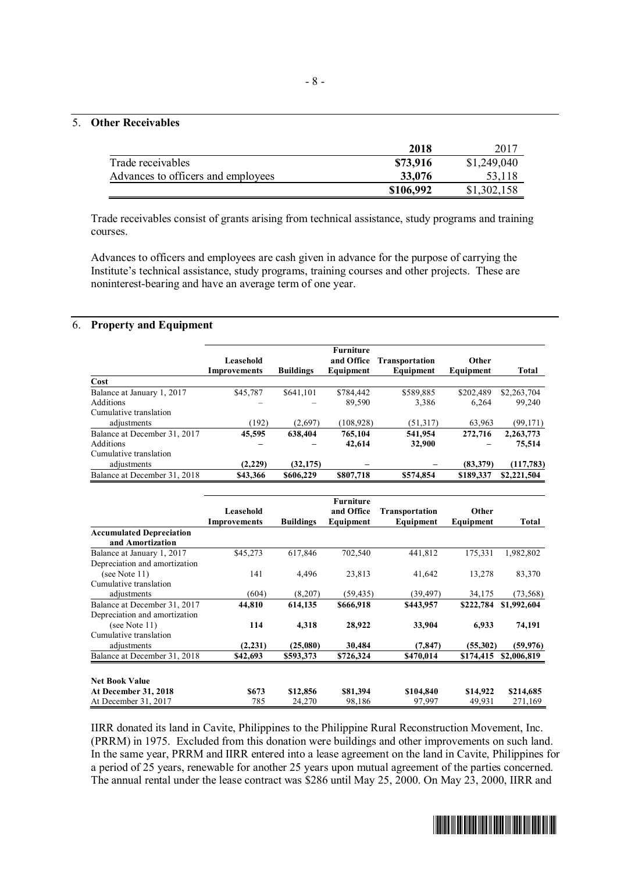#### 5. **Other Receivables**

|                                    | 2018      | -2017       |
|------------------------------------|-----------|-------------|
| Trade receivables                  | \$73,916  | \$1,249,040 |
| Advances to officers and employees | 33,076    | 53,118      |
|                                    | \$106,992 | \$1,302,158 |

Trade receivables consist of grants arising from technical assistance, study programs and training courses.

Advances to officers and employees are cash given in advance for the purpose of carrying the Institute's technical assistance, study programs, training courses and other projects. These are noninterest-bearing and have an average term of one year.

#### 6. **Property and Equipment**

|                              | Leasehold<br>Improvements | <b>Buildings</b> | <b>Furniture</b><br>and Office<br>Equipment | <b>Transportation</b><br>Equipment | Other<br>Equipment | Total       |
|------------------------------|---------------------------|------------------|---------------------------------------------|------------------------------------|--------------------|-------------|
| Cost                         |                           |                  |                                             |                                    |                    |             |
| Balance at January 1, 2017   | \$45,787                  | \$641,101        | \$784.442                                   | \$589,885                          | \$202,489          | \$2,263,704 |
| Additions                    |                           |                  | 89,590                                      | 3,386                              | 6.264              | 99,240      |
| Cumulative translation       |                           |                  |                                             |                                    |                    |             |
| adjustments                  | (192)                     | (2,697)          | (108,928)                                   | (51,317)                           | 63,963             | (99, 171)   |
| Balance at December 31, 2017 | 45,595                    | 638,404          | 765,104                                     | 541,954                            | 272,716            | 2,263,773   |
| Additions                    |                           |                  | 42,614                                      | 32,900                             |                    | 75,514      |
| Cumulative translation       |                           |                  |                                             |                                    |                    |             |
| adjustments                  | (2,229)                   | (32, 175)        |                                             |                                    | (83,379)           | (117,783)   |
| Balance at December 31, 2018 | \$43,366                  | \$606,229        | \$807,718                                   | \$574,854                          | \$189,337          | \$2,221,504 |

|                                                     | Leasehold<br>Improvements | <b>Buildings</b> | <b>Furniture</b><br>and Office<br>Equipment | Transportation<br>Equipment | <b>Other</b><br>Equipment | Total       |
|-----------------------------------------------------|---------------------------|------------------|---------------------------------------------|-----------------------------|---------------------------|-------------|
| <b>Accumulated Depreciation</b><br>and Amortization |                           |                  |                                             |                             |                           |             |
| Balance at January 1, 2017                          | \$45,273                  | 617,846          | 702,540                                     | 441,812                     | 175,331                   | 1,982,802   |
| Depreciation and amortization                       |                           |                  |                                             |                             |                           |             |
| (see Note 11)                                       | 141                       | 4.496            | 23,813                                      | 41,642                      | 13,278                    | 83,370      |
| Cumulative translation                              |                           |                  |                                             |                             |                           |             |
| adjustments                                         | (604)                     | (8,207)          | (59, 435)                                   | (39, 497)                   | 34,175                    | (73, 568)   |
| Balance at December 31, 2017                        | 44,810                    | 614,135          | \$666,918                                   | \$443,957                   | \$222,784                 | \$1,992,604 |
| Depreciation and amortization                       |                           |                  |                                             |                             |                           |             |
| (see Note 11)                                       | 114                       | 4,318            | 28,922                                      | 33,904                      | 6,933                     | 74,191      |
| Cumulative translation                              |                           |                  |                                             |                             |                           |             |
| adjustments                                         | (2,231)                   | (25,080)         | 30,484                                      | (7, 847)                    | (55,302)                  | (59, 976)   |
| Balance at December 31, 2018                        | \$42,693                  | \$593,373        | \$726,324                                   | \$470,014                   | \$174,415                 | \$2,006,819 |
|                                                     |                           |                  |                                             |                             |                           |             |
| <b>Net Book Value</b>                               |                           |                  |                                             |                             |                           |             |
| <b>At December 31, 2018</b>                         | \$673                     | \$12,856         | \$81,394                                    | \$104,840                   | \$14,922                  | \$214,685   |
| At December 31, 2017                                | 785                       | 24,270           | 98,186                                      | 97,997                      | 49,931                    | 271,169     |

IIRR donated its land in Cavite, Philippines to the Philippine Rural Reconstruction Movement, Inc. (PRRM) in 1975. Excluded from this donation were buildings and other improvements on such land. In the same year, PRRM and IIRR entered into a lease agreement on the land in Cavite, Philippines for a period of 25 years, renewable for another 25 years upon mutual agreement of the parties concerned. The annual rental under the lease contract was \$286 until May 25, 2000. On May 23, 2000, IIRR and

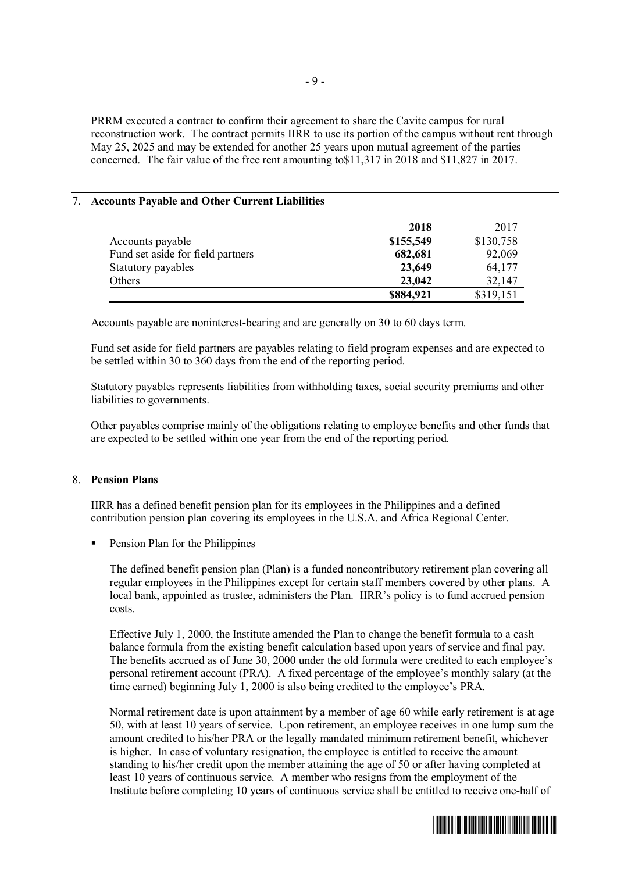PRRM executed a contract to confirm their agreement to share the Cavite campus for rural reconstruction work. The contract permits IIRR to use its portion of the campus without rent through May 25, 2025 and may be extended for another 25 years upon mutual agreement of the parties concerned. The fair value of the free rent amounting to\$11,317 in 2018 and \$11,827 in 2017.

## 7. **Accounts Payable and Other Current Liabilities**

|                                   | 2018      | 2017      |
|-----------------------------------|-----------|-----------|
| Accounts payable                  | \$155,549 | \$130,758 |
| Fund set aside for field partners | 682,681   | 92,069    |
| Statutory payables                | 23,649    | 64,177    |
| Others                            | 23,042    | 32,147    |
|                                   | \$884,921 | \$319,151 |

Accounts payable are noninterest-bearing and are generally on 30 to 60 days term.

Fund set aside for field partners are payables relating to field program expenses and are expected to be settled within 30 to 360 days from the end of the reporting period.

Statutory payables represents liabilities from withholding taxes, social security premiums and other liabilities to governments.

Other payables comprise mainly of the obligations relating to employee benefits and other funds that are expected to be settled within one year from the end of the reporting period.

#### 8. **Pension Plans**

IIRR has a defined benefit pension plan for its employees in the Philippines and a defined contribution pension plan covering its employees in the U.S.A. and Africa Regional Center.

Pension Plan for the Philippines

The defined benefit pension plan (Plan) is a funded noncontributory retirement plan covering all regular employees in the Philippines except for certain staff members covered by other plans. A local bank, appointed as trustee, administers the Plan. IIRR's policy is to fund accrued pension costs.

Effective July 1, 2000, the Institute amended the Plan to change the benefit formula to a cash balance formula from the existing benefit calculation based upon years of service and final pay. The benefits accrued as of June 30, 2000 under the old formula were credited to each employee's personal retirement account (PRA). A fixed percentage of the employee's monthly salary (at the time earned) beginning July 1, 2000 is also being credited to the employee's PRA.

Normal retirement date is upon attainment by a member of age 60 while early retirement is at age 50, with at least 10 years of service. Upon retirement, an employee receives in one lump sum the amount credited to his/her PRA or the legally mandated minimum retirement benefit, whichever is higher. In case of voluntary resignation, the employee is entitled to receive the amount standing to his/her credit upon the member attaining the age of 50 or after having completed at least 10 years of continuous service. A member who resigns from the employment of the Institute before completing 10 years of continuous service shall be entitled to receive one-half of

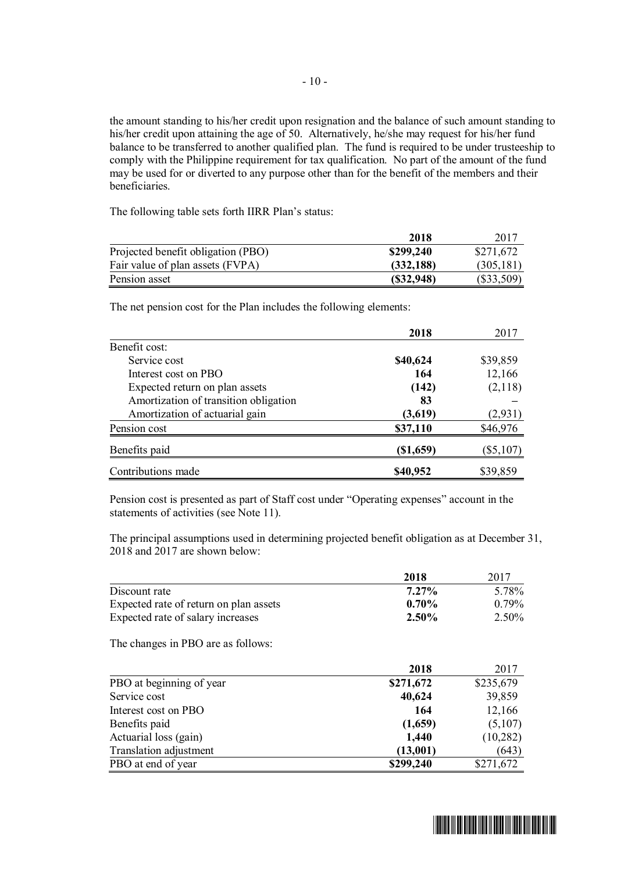the amount standing to his/her credit upon resignation and the balance of such amount standing to his/her credit upon attaining the age of 50. Alternatively, he/she may request for his/her fund balance to be transferred to another qualified plan. The fund is required to be under trusteeship to comply with the Philippine requirement for tax qualification. No part of the amount of the fund may be used for or diverted to any purpose other than for the benefit of the members and their beneficiaries.

The following table sets forth IIRR Plan's status:

|                                    | 2018       | 2017         |
|------------------------------------|------------|--------------|
| Projected benefit obligation (PBO) | \$299,240  | \$271,672    |
| Fair value of plan assets (FVPA)   | (332, 188) | (305, 181)   |
| Pension asset                      | (S32, 948) | $(\$33,509)$ |

The net pension cost for the Plan includes the following elements:

|                                       | 2018        | 2017        |
|---------------------------------------|-------------|-------------|
| Benefit cost:                         |             |             |
| Service cost                          | \$40,624    | \$39,859    |
| Interest cost on PBO                  | 164         | 12,166      |
| Expected return on plan assets        | (142)       | (2,118)     |
| Amortization of transition obligation | 83          |             |
| Amortization of actuarial gain        | (3,619)     | (2,931)     |
| Pension cost                          | \$37,110    | \$46,976    |
| Benefits paid                         | $(\$1,659)$ | $(\$5,107)$ |
| Contributions made                    | \$40,952    | \$39,859    |

Pension cost is presented as part of Staff cost under "Operating expenses" account in the statements of activities (see Note 11).

The principal assumptions used in determining projected benefit obligation as at December 31, 2018 and 2017 are shown below:

|                                        | 2018      | 2017      |
|----------------------------------------|-----------|-----------|
| Discount rate                          | $7.27\%$  | 5.78%     |
| Expected rate of return on plan assets | 0.70%     | 0.79%     |
| Expected rate of salary increases      | 2.50%     | 2.50%     |
| The changes in PBO are as follows:     |           |           |
|                                        | 2018      | 2017      |
| PBO at beginning of year               | \$271,672 | \$235,679 |
| Service cost                           | 40,624    | 39,859    |
| Interest cost on PBO                   | 164       | 12,166    |
| Benefits paid                          | (1,659)   | (5,107)   |
| Actuarial loss (gain)                  | 1,440     | (10, 282) |
| Translation adjustment                 | (13,001)  | (643)     |
| PBO at end of year                     | \$299,240 | \$271,672 |

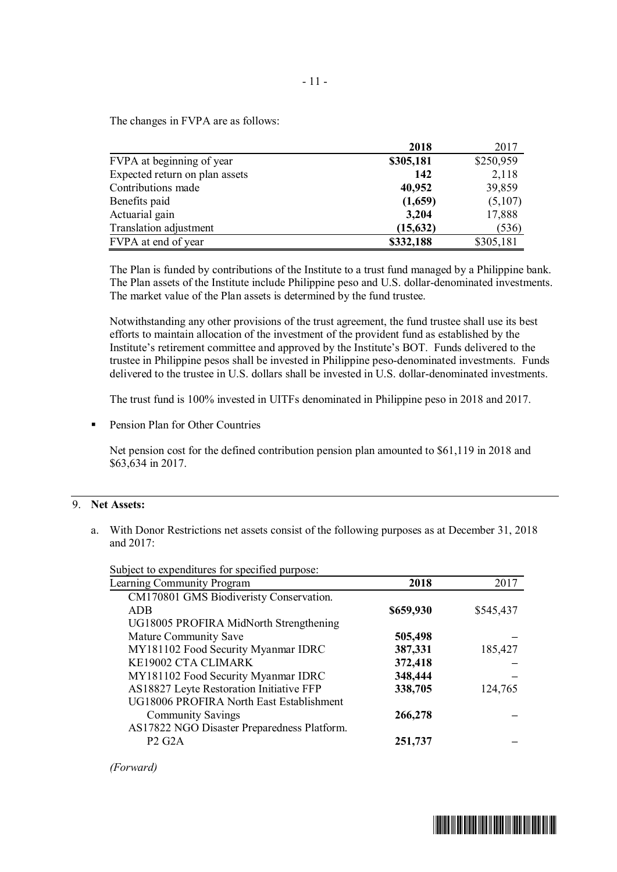The changes in FVPA are as follows:

|                                | 2018      | 2017      |
|--------------------------------|-----------|-----------|
| FVPA at beginning of year      | \$305,181 | \$250,959 |
| Expected return on plan assets | 142       | 2,118     |
| Contributions made             | 40,952    | 39,859    |
| Benefits paid                  | (1,659)   | (5,107)   |
| Actuarial gain                 | 3,204     | 17,888    |
| Translation adjustment         | (15, 632) | (536)     |
| FVPA at end of year            | \$332,188 | \$305,181 |

The Plan is funded by contributions of the Institute to a trust fund managed by a Philippine bank. The Plan assets of the Institute include Philippine peso and U.S. dollar-denominated investments. The market value of the Plan assets is determined by the fund trustee.

Notwithstanding any other provisions of the trust agreement, the fund trustee shall use its best efforts to maintain allocation of the investment of the provident fund as established by the Institute's retirement committee and approved by the Institute's BOT. Funds delivered to the trustee in Philippine pesos shall be invested in Philippine peso-denominated investments. Funds delivered to the trustee in U.S. dollars shall be invested in U.S. dollar-denominated investments.

The trust fund is 100% invested in UITFs denominated in Philippine peso in 2018 and 2017.

Pension Plan for Other Countries

Net pension cost for the defined contribution pension plan amounted to \$61,119 in 2018 and \$63,634 in 2017.

## 9. **Net Assets:**

a. With Donor Restrictions net assets consist of the following purposes as at December 31, 2018 and 2017:

Subject to expenditures for specified purpose:

| $\mathcal{L}$ and $\mathcal{L}$ to experiment of the specified purpose. |           |           |
|-------------------------------------------------------------------------|-----------|-----------|
| Learning Community Program                                              | 2018      | 2017      |
| CM170801 GMS Biodiveristy Conservation.                                 |           |           |
| <b>ADB</b>                                                              | \$659,930 | \$545,437 |
| UG18005 PROFIRA MidNorth Strengthening                                  |           |           |
| Mature Community Save                                                   | 505,498   |           |
| MY181102 Food Security Myanmar IDRC                                     | 387,331   | 185,427   |
| KE19002 CTA CLIMARK                                                     | 372,418   |           |
| MY181102 Food Security Myanmar IDRC                                     | 348,444   |           |
| AS18827 Leyte Restoration Initiative FFP                                | 338,705   | 124,765   |
| UG18006 PROFIRA North East Establishment                                |           |           |
| <b>Community Savings</b>                                                | 266,278   |           |
| AS17822 NGO Disaster Preparedness Platform.                             |           |           |
| <b>P2 G2A</b>                                                           | 251,737   |           |
|                                                                         |           |           |

*(Forward)*

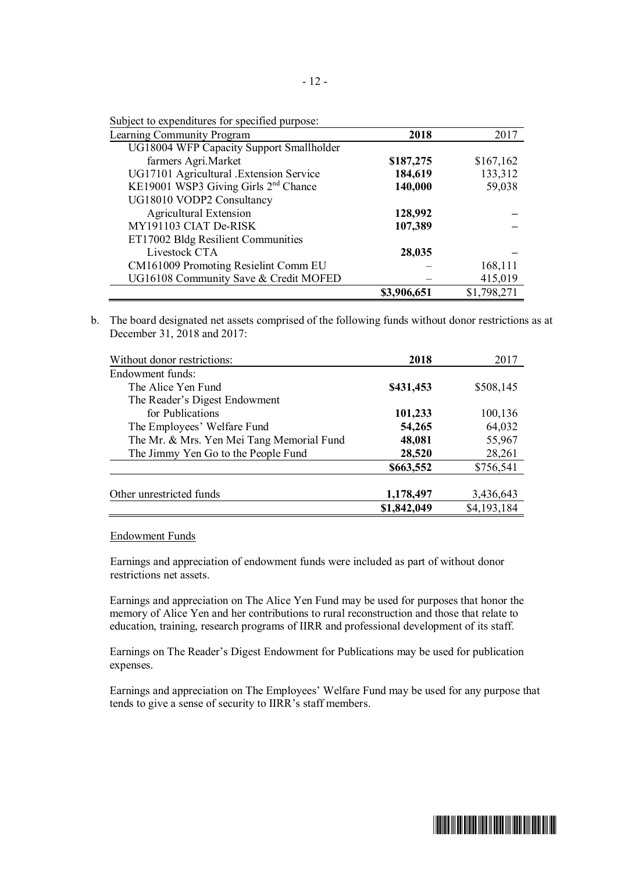| Subject to expenditures for specified purpose: |  |  |  |
|------------------------------------------------|--|--|--|
|------------------------------------------------|--|--|--|

| Learning Community Program                       | 2018        | 2017        |
|--------------------------------------------------|-------------|-------------|
| UG18004 WFP Capacity Support Smallholder         |             |             |
| farmers Agri.Market                              | \$187,275   | \$167,162   |
| UG17101 Agricultural .Extension Service          | 184,619     | 133,312     |
| KE19001 WSP3 Giving Girls 2 <sup>nd</sup> Chance | 140,000     | 59,038      |
| UG18010 VODP2 Consultancy                        |             |             |
| <b>Agricultural Extension</b>                    | 128,992     |             |
| MY191103 CIAT De-RISK                            | 107,389     |             |
| ET17002 Bldg Resilient Communities               |             |             |
| Livestock CTA                                    | 28,035      |             |
| CM161009 Promoting Resielint Comm EU             |             | 168,111     |
| UG16108 Community Save & Credit MOFED            |             | 415,019     |
|                                                  | \$3,906,651 | \$1,798,271 |

b. The board designated net assets comprised of the following funds without donor restrictions as at December 31, 2018 and 2017:

| Without donor restrictions:               | 2018        | 2017        |
|-------------------------------------------|-------------|-------------|
| Endowment funds:                          |             |             |
| The Alice Yen Fund                        | \$431,453   | \$508,145   |
| The Reader's Digest Endowment             |             |             |
| for Publications                          | 101,233     | 100,136     |
| The Employees' Welfare Fund               | 54,265      | 64,032      |
| The Mr. & Mrs. Yen Mei Tang Memorial Fund | 48,081      | 55,967      |
| The Jimmy Yen Go to the People Fund       | 28,520      | 28,261      |
|                                           | \$663,552   | \$756,541   |
|                                           |             |             |
| Other unrestricted funds                  | 1,178,497   | 3,436,643   |
|                                           | \$1,842,049 | \$4,193,184 |

Endowment Funds

Earnings and appreciation of endowment funds were included as part of without donor restrictions net assets.

Earnings and appreciation on The Alice Yen Fund may be used for purposes that honor the memory of Alice Yen and her contributions to rural reconstruction and those that relate to education, training, research programs of IIRR and professional development of its staff.

Earnings on The Reader's Digest Endowment for Publications may be used for publication expenses.

Earnings and appreciation on The Employees' Welfare Fund may be used for any purpose that tends to give a sense of security to IIRR's staff members.

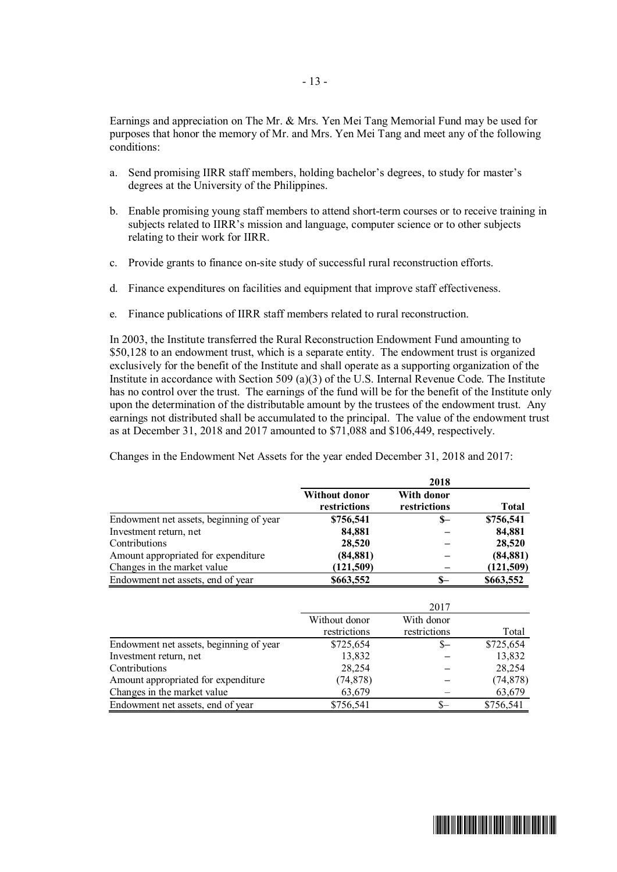Earnings and appreciation on The Mr. & Mrs. Yen Mei Tang Memorial Fund may be used for purposes that honor the memory of Mr. and Mrs. Yen Mei Tang and meet any of the following conditions:

- a. Send promising IIRR staff members, holding bachelor's degrees, to study for master's degrees at the University of the Philippines.
- b. Enable promising young staff members to attend short-term courses or to receive training in subjects related to IIRR's mission and language, computer science or to other subjects relating to their work for IIRR.
- c. Provide grants to finance on-site study of successful rural reconstruction efforts.
- d. Finance expenditures on facilities and equipment that improve staff effectiveness.
- e. Finance publications of IIRR staff members related to rural reconstruction.

In 2003, the Institute transferred the Rural Reconstruction Endowment Fund amounting to \$50,128 to an endowment trust, which is a separate entity. The endowment trust is organized exclusively for the benefit of the Institute and shall operate as a supporting organization of the Institute in accordance with Section 509 (a)(3) of the U.S. Internal Revenue Code. The Institute has no control over the trust. The earnings of the fund will be for the benefit of the Institute only upon the determination of the distributable amount by the trustees of the endowment trust. Any earnings not distributed shall be accumulated to the principal. The value of the endowment trust as at December 31, 2018 and 2017 amounted to \$71,088 and \$106,449, respectively.

Changes in the Endowment Net Assets for the year ended December 31, 2018 and 2017:

|                                         |                                      | 2018                       |              |
|-----------------------------------------|--------------------------------------|----------------------------|--------------|
|                                         | <b>Without donor</b><br>restrictions | With donor<br>restrictions | <b>Total</b> |
| Endowment net assets, beginning of year | \$756,541                            | \$—                        | \$756,541    |
| Investment return, net                  | 84,881                               |                            | 84,881       |
| Contributions                           | 28,520                               |                            | 28,520       |
| Amount appropriated for expenditure     | (84, 881)                            |                            | (84, 881)    |
| Changes in the market value             | (121, 509)                           |                            | (121, 509)   |
| Endowment net assets, end of year       | \$663,552                            | $S-$                       | \$663,552    |
|                                         |                                      | 2017                       |              |
|                                         | Without donor                        | With donor                 |              |
|                                         | restrictions                         | restrictions               | Total        |
| Endowment net assets, beginning of year | \$725,654                            | \$—                        | \$725,654    |
| Investment return, net                  | 13,832                               |                            | 13,832       |
| Contributions                           | 28,254                               |                            | 28,254       |
| Amount appropriated for expenditure     | (74, 878)                            |                            | (74, 878)    |
| Changes in the market value             | 63,679                               |                            | 63,679       |

Endowment net assets, end of year \$756,541 \$– \$756,541

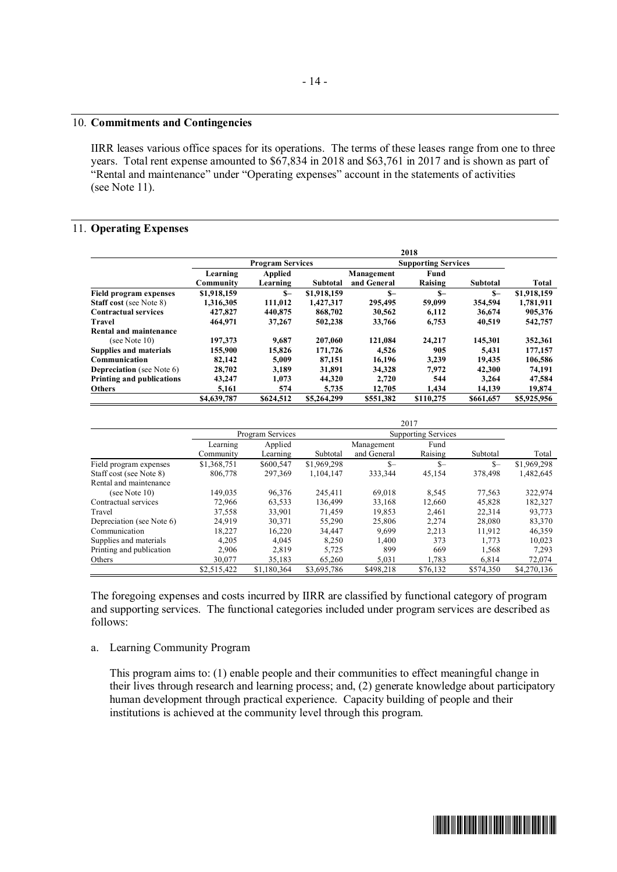#### 10. **Commitments and Contingencies**

IIRR leases various office spaces for its operations. The terms of these leases range from one to three years. Total rent expense amounted to \$67,834 in 2018 and \$63,761 in 2017 and is shown as part of "Rental and maintenance" under "Operating expenses" account in the statements of activities (see Note 11).

#### 11. **Operating Expenses**

|                                  | 2018        |                         |                 |                            |           |           |             |  |
|----------------------------------|-------------|-------------------------|-----------------|----------------------------|-----------|-----------|-------------|--|
|                                  |             | <b>Program Services</b> |                 | <b>Supporting Services</b> |           |           |             |  |
|                                  | Learning    | <b>Applied</b>          |                 | Management                 | Fund      |           |             |  |
|                                  | Community   | Learning                | <b>Subtotal</b> | and General                | Raising   | Subtotal  | Total       |  |
| <b>Field program expenses</b>    | \$1,918,159 | $S-$                    | \$1,918,159     | $S-$                       | $S-$      | $S-$      | \$1,918,159 |  |
| <b>Staff cost</b> (see Note 8)   | 1,316,305   | 111.012                 | 1.427.317       | 295.495                    | 59,099    | 354,594   | 1,781,911   |  |
| <b>Contractual services</b>      | 427,827     | 440,875                 | 868,702         | 30,562                     | 6,112     | 36,674    | 905,376     |  |
| Travel                           | 464,971     | 37,267                  | 502,238         | 33,766                     | 6,753     | 40,519    | 542,757     |  |
| Rental and maintenance           |             |                         |                 |                            |           |           |             |  |
| (see Note $10$ )                 | 197,373     | 9.687                   | 207,060         | 121.084                    | 24,217    | 145,301   | 352,361     |  |
| <b>Supplies and materials</b>    | 155,900     | 15,826                  | 171,726         | 4,526                      | 905       | 5,431     | 177,157     |  |
| Communication                    | 82,142      | 5.009                   | 87.151          | 16.196                     | 3.239     | 19.435    | 106,586     |  |
| <b>Depreciation</b> (see Note 6) | 28,702      | 3.189                   | 31,891          | 34.328                     | 7,972     | 42.300    | 74.191      |  |
| <b>Printing and publications</b> | 43,247      | 1,073                   | 44,320          | 2.720                      | 544       | 3,264     | 47,584      |  |
| <b>Others</b>                    | 5.161       | 574                     | 5.735           | 12.705                     | 1.434     | 14.139    | 19.874      |  |
|                                  | \$4,639,787 | \$624,512               | \$5,264,299     | \$551,382                  | \$110,275 | \$661,657 | \$5,925,956 |  |

|                           | 2017        |                  |             |             |                            |           |             |
|---------------------------|-------------|------------------|-------------|-------------|----------------------------|-----------|-------------|
|                           |             | Program Services |             |             | <b>Supporting Services</b> |           |             |
|                           | Learning    | Applied          |             | Management  | Fund                       |           |             |
|                           | Community   | Learning         | Subtotal    | and General | Raising                    | Subtotal  | Total       |
| Field program expenses    | \$1,368,751 | \$600,547        | \$1,969,298 | $S-$        | $S-$                       | $S-$      | \$1,969,298 |
| Staff cost (see Note 8)   | 806,778     | 297.369          | 1.104.147   | 333,344     | 45,154                     | 378,498   | 1,482,645   |
| Rental and maintenance    |             |                  |             |             |                            |           |             |
| (see Note $10$ )          | 149.035     | 96.376           | 245.411     | 69.018      | 8.545                      | 77.563    | 322,974     |
| Contractual services      | 72,966      | 63.533           | 136.499     | 33,168      | 12.660                     | 45,828    | 182,327     |
| Travel                    | 37.558      | 33,901           | 71.459      | 19.853      | 2.461                      | 22,314    | 93,773      |
| Depreciation (see Note 6) | 24.919      | 30,371           | 55,290      | 25,806      | 2,274                      | 28,080    | 83,370      |
| Communication             | 18.227      | 16,220           | 34.447      | 9.699       | 2,213                      | 11.912    | 46,359      |
| Supplies and materials    | 4,205       | 4.045            | 8,250       | 1.400       | 373                        | 1,773     | 10,023      |
| Printing and publication  | 2.906       | 2.819            | 5.725       | 899         | 669                        | 1.568     | 7.293       |
| Others                    | 30,077      | 35.183           | 65,260      | 5,031       | 1,783                      | 6,814     | 72,074      |
|                           | \$2,515,422 | \$1,180,364      | \$3,695,786 | \$498.218   | \$76.132                   | \$574,350 | \$4,270,136 |

The foregoing expenses and costs incurred by IIRR are classified by functional category of program and supporting services. The functional categories included under program services are described as follows:

#### a. Learning Community Program

This program aims to: (1) enable people and their communities to effect meaningful change in their lives through research and learning process; and, (2) generate knowledge about participatory human development through practical experience. Capacity building of people and their institutions is achieved at the community level through this program.

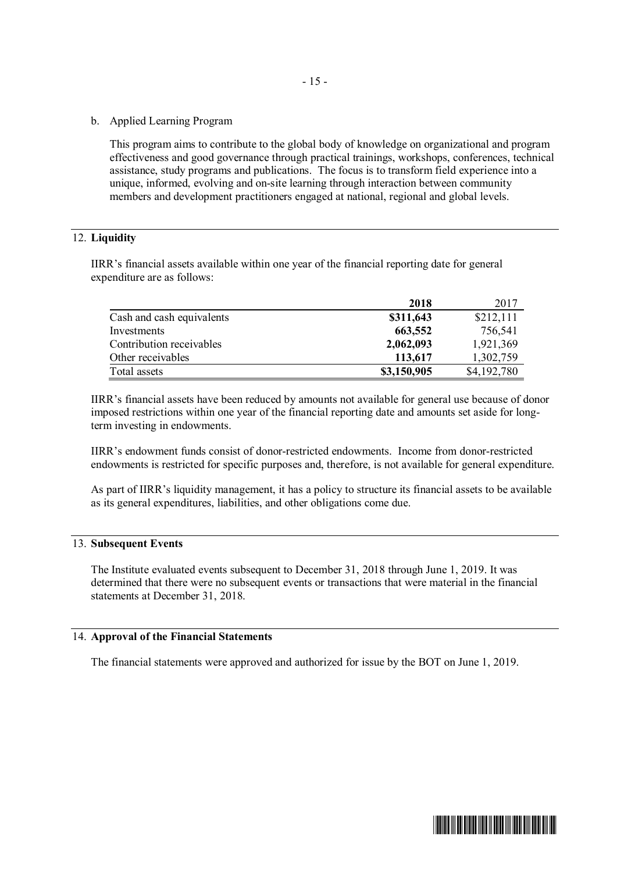- 15 -
- b. Applied Learning Program

This program aims to contribute to the global body of knowledge on organizational and program effectiveness and good governance through practical trainings, workshops, conferences, technical assistance, study programs and publications. The focus is to transform field experience into a unique, informed, evolving and on-site learning through interaction between community members and development practitioners engaged at national, regional and global levels.

## 12. **Liquidity**

IIRR's financial assets available within one year of the financial reporting date for general expenditure are as follows:

|                           | 2018        | 2017        |
|---------------------------|-------------|-------------|
| Cash and cash equivalents | \$311,643   | \$212,111   |
| Investments               | 663,552     | 756,541     |
| Contribution receivables  | 2,062,093   | 1,921,369   |
| Other receivables         | 113,617     | 1,302,759   |
| Total assets              | \$3,150,905 | \$4,192,780 |

IIRR's financial assets have been reduced by amounts not available for general use because of donor imposed restrictions within one year of the financial reporting date and amounts set aside for longterm investing in endowments.

IIRR's endowment funds consist of donor-restricted endowments. Income from donor-restricted endowments is restricted for specific purposes and, therefore, is not available for general expenditure.

As part of IIRR's liquidity management, it has a policy to structure its financial assets to be available as its general expenditures, liabilities, and other obligations come due.

## 13. **Subsequent Events**

The Institute evaluated events subsequent to December 31, 2018 through June 1, 2019. It was determined that there were no subsequent events or transactions that were material in the financial statements at December 31, 2018.

## 14. **Approval of the Financial Statements**

The financial statements were approved and authorized for issue by the BOT on June 1, 2019.

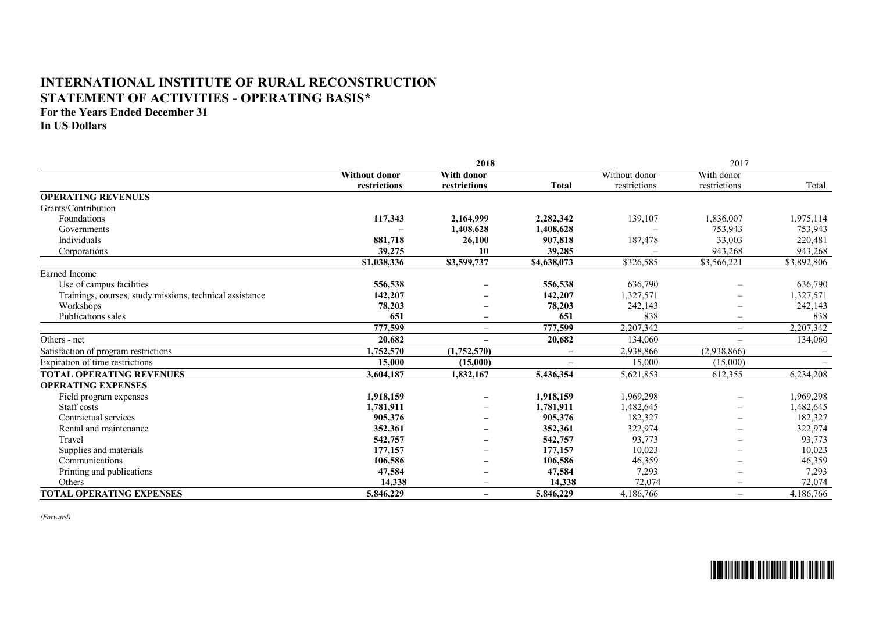## **INTERNATIONAL INSTITUTE OF RURAL RECONSTRUCTION STATEMENT OF ACTIVITIES - OPERATING BASIS\***

**For the Years Ended December 31**

**In US Dollars**

|                                                          | 2018                 |                   |                   |               | 2017                     |             |  |
|----------------------------------------------------------|----------------------|-------------------|-------------------|---------------|--------------------------|-------------|--|
|                                                          | <b>Without donor</b> | <b>With donor</b> |                   | Without donor | With donor               |             |  |
|                                                          | restrictions         | restrictions      | <b>Total</b>      | restrictions  | restrictions             | Total       |  |
| <b>OPERATING REVENUES</b>                                |                      |                   |                   |               |                          |             |  |
| Grants/Contribution                                      |                      |                   |                   |               |                          |             |  |
| Foundations                                              | 117,343              | 2,164,999         | 2,282,342         | 139,107       | 1,836,007                | 1,975,114   |  |
| Governments                                              |                      | 1,408,628         | 1,408,628         |               | 753,943                  | 753,943     |  |
| Individuals                                              | 881,718              | 26,100            | 907,818           | 187,478       | 33,003                   | 220,481     |  |
| Corporations                                             | 39,275               | 10                | 39,285            |               | 943,268                  | 943,268     |  |
|                                                          | \$1,038,336          | \$3,599,737       | \$4,638,073       | \$326,585     | \$3,566,221              | \$3,892,806 |  |
| Earned Income                                            |                      |                   |                   |               |                          |             |  |
| Use of campus facilities                                 | 556,538              |                   | 556,538           | 636,790       |                          | 636,790     |  |
| Trainings, courses, study missions, technical assistance | 142,207              |                   | 142,207           | 1,327,571     |                          | 1,327,571   |  |
| Workshops                                                | 78,203               |                   | 78,203            | 242,143       |                          | 242,143     |  |
| Publications sales                                       | 651                  |                   | 651               | 838           |                          | 838         |  |
|                                                          | 777,599              | $\qquad \qquad -$ | 777,599           | 2,207,342     | $\overline{\phantom{m}}$ | 2,207,342   |  |
| Others - net                                             | 20,682               | $\qquad \qquad -$ | 20,682            | 134,060       | $\overline{\phantom{m}}$ | 134,060     |  |
| Satisfaction of program restrictions                     | 1,752,570            | (1,752,570)       | $\qquad \qquad -$ | 2,938,866     | (2,938,866)              |             |  |
| Expiration of time restrictions                          | 15,000               | (15,000)          |                   | 15,000        | (15,000)                 |             |  |
| <b>TOTAL OPERATING REVENUES</b>                          | 3,604,187            | 1,832,167         | 5,436,354         | 5,621,853     | 612,355                  | 6,234,208   |  |
| <b>OPERATING EXPENSES</b>                                |                      |                   |                   |               |                          |             |  |
| Field program expenses                                   | 1,918,159            | $\qquad \qquad -$ | 1,918,159         | 1,969,298     |                          | 1,969,298   |  |
| Staff costs                                              | 1,781,911            |                   | 1,781,911         | 1,482,645     |                          | 1,482,645   |  |
| Contractual services                                     | 905,376              |                   | 905,376           | 182,327       |                          | 182,327     |  |
| Rental and maintenance                                   | 352,361              |                   | 352,361           | 322,974       |                          | 322,974     |  |
| Travel                                                   | 542,757              |                   | 542,757           | 93,773        | $\overline{\phantom{0}}$ | 93,773      |  |
| Supplies and materials                                   | 177,157              |                   | 177,157           | 10,023        |                          | 10,023      |  |
| Communications                                           | 106,586              |                   | 106,586           | 46,359        |                          | 46,359      |  |
| Printing and publications                                | 47,584               |                   | 47,584            | 7,293         |                          | 7,293       |  |
| Others                                                   | 14,338               |                   | 14,338            | 72,074        | $\overline{\phantom{0}}$ | 72,074      |  |
| <b>TOTAL OPERATING EXPENSES</b>                          | 5,846,229            | $\qquad \qquad -$ | 5,846,229         | 4,186,766     | $\overline{\phantom{m}}$ | 4,186,766   |  |

*(Forward)*